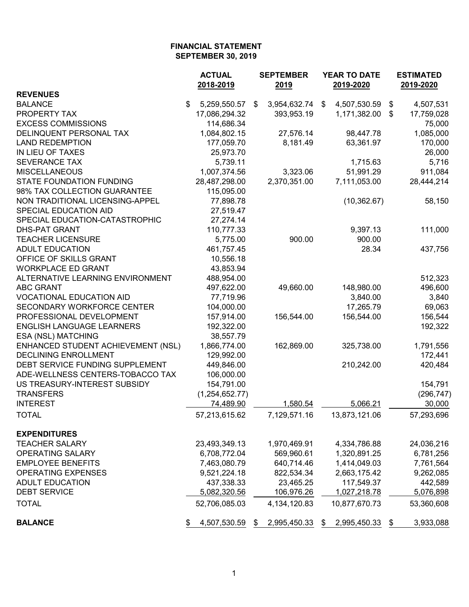|                                    | <b>ACTUAL</b><br>2018-2019 |      | <b>SEPTEMBER</b><br>2019 | <b>YEAR TO DATE</b><br>2019-2020 |                 | <b>ESTIMATED</b><br>2019-2020 |            |
|------------------------------------|----------------------------|------|--------------------------|----------------------------------|-----------------|-------------------------------|------------|
| <b>REVENUES</b>                    |                            |      |                          |                                  |                 |                               |            |
| <b>BALANCE</b>                     | \$<br>5,259,550.57         | \$   | 3,954,632.74             | \$                               | 4,507,530.59    | \$                            | 4,507,531  |
| PROPERTY TAX                       | 17,086,294.32              |      | 393,953.19               |                                  | 1,171,382.00    | \$                            | 17,759,028 |
| <b>EXCESS COMMISSIONS</b>          | 114,686.34                 |      |                          |                                  |                 |                               | 75,000     |
| DELINQUENT PERSONAL TAX            | 1,084,802.15               |      | 27,576.14                |                                  | 98,447.78       |                               | 1,085,000  |
| <b>LAND REDEMPTION</b>             | 177,059.70                 |      | 8,181.49                 |                                  | 63,361.97       |                               | 170,000    |
| IN LIEU OF TAXES                   | 25,973.70                  |      |                          |                                  |                 |                               | 26,000     |
| <b>SEVERANCE TAX</b>               | 5,739.11                   |      |                          |                                  | 1,715.63        |                               | 5,716      |
| <b>MISCELLANEOUS</b>               | 1,007,374.56               |      | 3,323.06                 |                                  | 51,991.29       |                               | 911,084    |
| <b>STATE FOUNDATION FUNDING</b>    | 28,487,298.00              |      | 2,370,351.00             |                                  | 7,111,053.00    |                               | 28,444,214 |
| 98% TAX COLLECTION GUARANTEE       | 115,095.00                 |      |                          |                                  |                 |                               |            |
| NON TRADITIONAL LICENSING-APPEL    | 77,898.78                  |      |                          |                                  | (10, 362.67)    |                               | 58,150     |
| SPECIAL EDUCATION AID              | 27,519.47                  |      |                          |                                  |                 |                               |            |
| SPECIAL EDUCATION-CATASTROPHIC     | 27,274.14                  |      |                          |                                  |                 |                               |            |
| <b>DHS-PAT GRANT</b>               | 110,777.33                 |      |                          |                                  | 9,397.13        |                               | 111,000    |
| <b>TEACHER LICENSURE</b>           | 5,775.00                   |      | 900.00                   |                                  | 900.00          |                               |            |
| <b>ADULT EDUCATION</b>             | 461,757.45                 |      |                          |                                  | 28.34           |                               | 437,756    |
| OFFICE OF SKILLS GRANT             | 10,556.18                  |      |                          |                                  |                 |                               |            |
| <b>WORKPLACE ED GRANT</b>          | 43,853.94                  |      |                          |                                  |                 |                               |            |
| ALTERNATIVE LEARNING ENVIRONMENT   | 488,954.00                 |      |                          |                                  |                 |                               | 512,323    |
| <b>ABC GRANT</b>                   | 497,622.00                 |      | 49,660.00                |                                  | 148,980.00      |                               | 496,600    |
| <b>VOCATIONAL EDUCATION AID</b>    | 77,719.96                  |      |                          |                                  | 3,840.00        |                               | 3,840      |
| SECONDARY WORKFORCE CENTER         | 104,000.00                 |      |                          |                                  | 17,265.79       |                               | 69,063     |
| PROFESSIONAL DEVELOPMENT           | 157,914.00                 |      | 156,544.00               |                                  | 156,544.00      |                               | 156,544    |
| <b>ENGLISH LANGUAGE LEARNERS</b>   | 192,322.00                 |      |                          |                                  |                 |                               | 192,322    |
| ESA (NSL) MATCHING                 | 38,557.79                  |      |                          |                                  |                 |                               |            |
| ENHANCED STUDENT ACHIEVEMENT (NSL) | 1,866,774.00               |      | 162,869.00               |                                  | 325,738.00      |                               | 1,791,556  |
| <b>DECLINING ENROLLMENT</b>        | 129,992.00                 |      |                          |                                  |                 |                               | 172,441    |
| DEBT SERVICE FUNDING SUPPLEMENT    | 449,846.00                 |      |                          |                                  | 210,242.00      |                               | 420,484    |
| ADE-WELLNESS CENTERS-TOBACCO TAX   | 106,000.00                 |      |                          |                                  |                 |                               |            |
| US TREASURY-INTEREST SUBSIDY       | 154,791.00                 |      |                          |                                  |                 |                               | 154,791    |
| <b>TRANSFERS</b>                   | (1,254,652.77)             |      |                          |                                  |                 |                               | (296, 747) |
| <b>INTEREST</b>                    | 74,489.90                  |      | 1,580.54                 |                                  | 5,066.21        |                               | 30,000     |
|                                    |                            |      |                          |                                  |                 |                               |            |
| <b>TOTAL</b>                       | 57,213,615.62              |      | 7,129,571.16             |                                  | 13,873,121.06   |                               | 57,293,696 |
| <b>EXPENDITURES</b>                |                            |      |                          |                                  |                 |                               |            |
| <b>TEACHER SALARY</b>              | 23,493,349.13              |      | 1,970,469.91             |                                  | 4,334,786.88    |                               | 24,036,216 |
| OPERATING SALARY                   | 6,708,772.04               |      | 569,960.61               |                                  | 1,320,891.25    |                               | 6,781,256  |
| <b>EMPLOYEE BENEFITS</b>           | 7,463,080.79               |      | 640,714.46               |                                  | 1,414,049.03    |                               | 7,761,564  |
| <b>OPERATING EXPENSES</b>          | 9,521,224.18               |      | 822,534.34               |                                  | 2,663,175.42    |                               | 9,262,085  |
| <b>ADULT EDUCATION</b>             | 437,338.33                 |      | 23,465.25                |                                  | 117,549.37      |                               | 442,589    |
| <b>DEBT SERVICE</b>                | 5,082,320.56               |      | 106,976.26               |                                  | 1,027,218.78    |                               | 5,076,898  |
| <b>TOTAL</b>                       | 52,706,085.03              |      | 4, 134, 120.83           |                                  | 10,877,670.73   |                               | 53,360,608 |
| <b>BALANCE</b>                     | 4,507,530.59<br>\$         | - \$ | 2,995,450.33             | \$                               | 2,995,450.33 \$ |                               | 3,933,088  |
|                                    |                            |      |                          |                                  |                 |                               |            |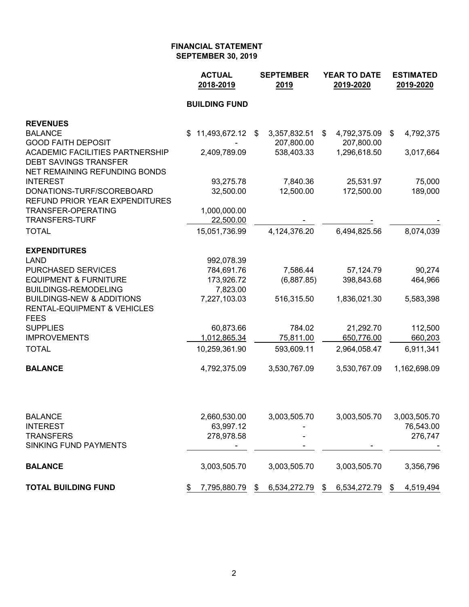|                                                                 | <b>ACTUAL</b><br>2018-2019 | <b>SEPTEMBER</b><br>2019 | <b>YEAR TO DATE</b><br>2019-2020 | <b>ESTIMATED</b><br>2019-2020 |  |
|-----------------------------------------------------------------|----------------------------|--------------------------|----------------------------------|-------------------------------|--|
|                                                                 | <b>BUILDING FUND</b>       |                          |                                  |                               |  |
| <b>REVENUES</b>                                                 |                            |                          |                                  |                               |  |
| <b>BALANCE</b>                                                  | 11,493,672.12<br>S.        | 3,357,832.51<br>\$       | 4,792,375.09<br>\$               | 4,792,375<br>\$               |  |
| <b>GOOD FAITH DEPOSIT</b>                                       |                            | 207,800.00               | 207,800.00                       |                               |  |
| <b>ACADEMIC FACILITIES PARTNERSHIP</b>                          | 2,409,789.09               | 538,403.33               | 1,296,618.50                     | 3,017,664                     |  |
| <b>DEBT SAVINGS TRANSFER</b><br>NET REMAINING REFUNDING BONDS   |                            |                          |                                  |                               |  |
| <b>INTEREST</b>                                                 | 93,275.78                  | 7,840.36                 | 25,531.97                        | 75,000                        |  |
| DONATIONS-TURF/SCOREBOARD                                       | 32,500.00                  | 12,500.00                | 172,500.00                       | 189,000                       |  |
| <b>REFUND PRIOR YEAR EXPENDITURES</b>                           |                            |                          |                                  |                               |  |
| TRANSFER-OPERATING                                              | 1,000,000.00               |                          |                                  |                               |  |
| <b>TRANSFERS-TURF</b>                                           | 22,500.00                  |                          |                                  |                               |  |
| <b>TOTAL</b>                                                    | 15,051,736.99              | 4,124,376.20             | 6,494,825.56                     | 8,074,039                     |  |
| <b>EXPENDITURES</b>                                             |                            |                          |                                  |                               |  |
| <b>LAND</b>                                                     | 992,078.39                 |                          |                                  |                               |  |
| <b>PURCHASED SERVICES</b>                                       | 784,691.76                 | 7,586.44                 | 57,124.79                        | 90,274                        |  |
| <b>EQUIPMENT &amp; FURNITURE</b><br><b>BUILDINGS-REMODELING</b> | 173,926.72<br>7,823.00     | (6,887.85)               | 398,843.68                       | 464,966                       |  |
| <b>BUILDINGS-NEW &amp; ADDITIONS</b>                            | 7,227,103.03               | 516,315.50               | 1,836,021.30                     | 5,583,398                     |  |
| <b>RENTAL-EQUIPMENT &amp; VEHICLES</b>                          |                            |                          |                                  |                               |  |
| <b>FEES</b>                                                     |                            |                          |                                  |                               |  |
| <b>SUPPLIES</b>                                                 | 60,873.66                  | 784.02                   | 21,292.70                        | 112,500                       |  |
| <b>IMPROVEMENTS</b>                                             | 1,012,865.34               | 75,811.00                | 650,776.00                       | 660,203                       |  |
| <b>TOTAL</b>                                                    | 10,259,361.90              | 593,609.11               | 2,964,058.47                     | 6,911,341                     |  |
| <b>BALANCE</b>                                                  | 4,792,375.09               | 3,530,767.09             | 3,530,767.09                     | 1,162,698.09                  |  |
|                                                                 |                            |                          |                                  |                               |  |
| <b>BALANCE</b>                                                  | 2,660,530.00               | 3,003,505.70             | 3,003,505.70                     | 3,003,505.70                  |  |
| <b>INTEREST</b>                                                 | 63,997.12                  |                          |                                  | 76,543.00                     |  |
| <b>TRANSFERS</b><br>SINKING FUND PAYMENTS                       | 278,978.58                 |                          |                                  | 276,747                       |  |
|                                                                 |                            |                          |                                  |                               |  |
| <b>BALANCE</b>                                                  | 3,003,505.70               | 3,003,505.70             | 3,003,505.70                     | 3,356,796                     |  |
| <b>TOTAL BUILDING FUND</b>                                      | 7,795,880.79<br>\$         | 6,534,272.79<br>\$       | 6,534,272.79<br>\$               | \$<br>4,519,494               |  |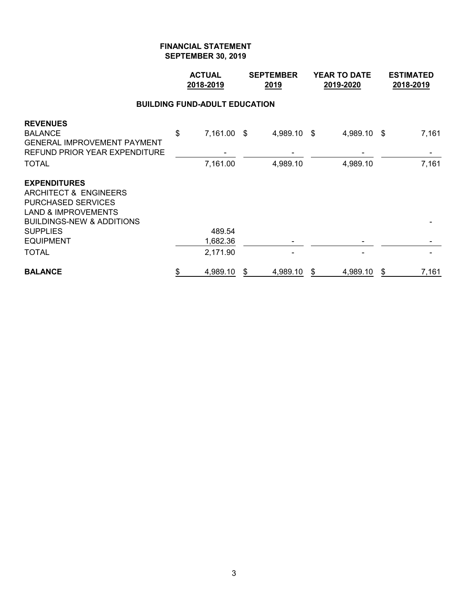|                                                                                                                                                                                                       | <b>ACTUAL</b><br>2018-2019           | <b>SEPTEMBER</b><br>2019 |                         |    | <b>YEAR TO DATE</b><br>2019-2020 | <b>ESTIMATED</b><br>2018-2019 |                |
|-------------------------------------------------------------------------------------------------------------------------------------------------------------------------------------------------------|--------------------------------------|--------------------------|-------------------------|----|----------------------------------|-------------------------------|----------------|
|                                                                                                                                                                                                       | <b>BUILDING FUND-ADULT EDUCATION</b> |                          |                         |    |                                  |                               |                |
| <b>REVENUES</b><br><b>BALANCE</b><br><b>GENERAL IMPROVEMENT PAYMENT</b><br>REFUND PRIOR YEAR EXPENDITURE<br><b>TOTAL</b>                                                                              | \$<br>7,161.00 \$<br>7,161.00        |                          | 4,989.10 \$<br>4,989.10 |    | 4,989.10 \$<br>4,989.10          |                               | 7,161<br>7,161 |
| <b>EXPENDITURES</b><br><b>ARCHITECT &amp; ENGINEERS</b><br><b>PURCHASED SERVICES</b><br><b>LAND &amp; IMPROVEMENTS</b><br><b>BUILDINGS-NEW &amp; ADDITIONS</b><br><b>SUPPLIES</b><br><b>EQUIPMENT</b> | 489.54<br>1,682.36                   |                          |                         |    |                                  |                               |                |
| <b>TOTAL</b>                                                                                                                                                                                          | 2,171.90                             |                          |                         |    |                                  |                               |                |
| <b>BALANCE</b>                                                                                                                                                                                        | \$<br>4,989.10                       | \$                       | 4,989.10                | \$ | 4,989.10                         | \$                            | 7,161          |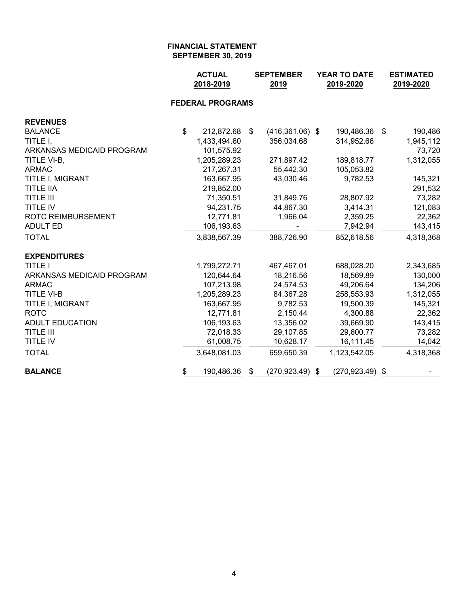|                           | <b>ACTUAL</b><br>2018-2019 |    | <b>SEPTEMBER</b><br>2019 | <b>YEAR TO DATE</b><br>2019-2020 | <b>ESTIMATED</b><br>2019-2020 |           |
|---------------------------|----------------------------|----|--------------------------|----------------------------------|-------------------------------|-----------|
|                           | <b>FEDERAL PROGRAMS</b>    |    |                          |                                  |                               |           |
| <b>REVENUES</b>           |                            |    |                          |                                  |                               |           |
| <b>BALANCE</b>            | \$<br>212,872.68           | \$ | $(416,361.06)$ \$        | 190,486.36                       | - \$                          | 190,486   |
| TITLE I,                  | 1,433,494.60               |    | 356,034.68               | 314,952.66                       |                               | 1,945,112 |
| ARKANSAS MEDICAID PROGRAM | 101,575.92                 |    |                          |                                  |                               | 73,720    |
| TITLE VI-B,               | 1,205,289.23               |    | 271,897.42               | 189,818.77                       |                               | 1,312,055 |
| <b>ARMAC</b>              | 217,267.31                 |    | 55,442.30                | 105,053.82                       |                               |           |
| TITLE I, MIGRANT          | 163,667.95                 |    | 43,030.46                | 9,782.53                         |                               | 145,321   |
| <b>TITLE IIA</b>          | 219,852.00                 |    |                          |                                  |                               | 291,532   |
| <b>TITLE III</b>          | 71,350.51                  |    | 31,849.76                | 28,807.92                        |                               | 73,282    |
| <b>TITLE IV</b>           | 94,231.75                  |    | 44,867.30                | 3,414.31                         |                               | 121,083   |
| ROTC REIMBURSEMENT        | 12,771.81                  |    | 1,966.04                 | 2,359.25                         |                               | 22,362    |
| <b>ADULT ED</b>           | 106,193.63                 |    |                          | 7,942.94                         |                               | 143,415   |
| <b>TOTAL</b>              | 3,838,567.39               |    | 388,726.90               | 852,618.56                       |                               | 4,318,368 |
| <b>EXPENDITURES</b>       |                            |    |                          |                                  |                               |           |
| <b>TITLE I</b>            | 1,799,272.71               |    | 467,467.01               | 688,028.20                       |                               | 2,343,685 |
| ARKANSAS MEDICAID PROGRAM | 120,644.64                 |    | 18,216.56                | 18,569.89                        |                               | 130,000   |
| <b>ARMAC</b>              | 107,213.98                 |    | 24,574.53                | 49,206.64                        |                               | 134,206   |
| <b>TITLE VI-B</b>         | 1,205,289.23               |    | 84,367.28                | 258,553.93                       |                               | 1,312,055 |
| TITLE I, MIGRANT          | 163,667.95                 |    | 9,782.53                 | 19,500.39                        |                               | 145,321   |
| <b>ROTC</b>               | 12,771.81                  |    | 2,150.44                 | 4,300.88                         |                               | 22,362    |
| <b>ADULT EDUCATION</b>    | 106,193.63                 |    | 13,356.02                | 39,669.90                        |                               | 143,415   |
| <b>TITLE III</b>          | 72,018.33                  |    | 29,107.85                | 29,600.77                        |                               | 73,282    |
| <b>TITLE IV</b>           | 61,008.75                  |    | 10,628.17                | 16,111.45                        |                               | 14,042    |
| <b>TOTAL</b>              | 3,648,081.03               |    | 659,650.39               | 1,123,542.05                     |                               | 4,318,368 |
| <b>BALANCE</b>            | \$<br>190,486.36           | S  | $(270, 923.49)$ \$       | $(270, 923.49)$ \$               |                               |           |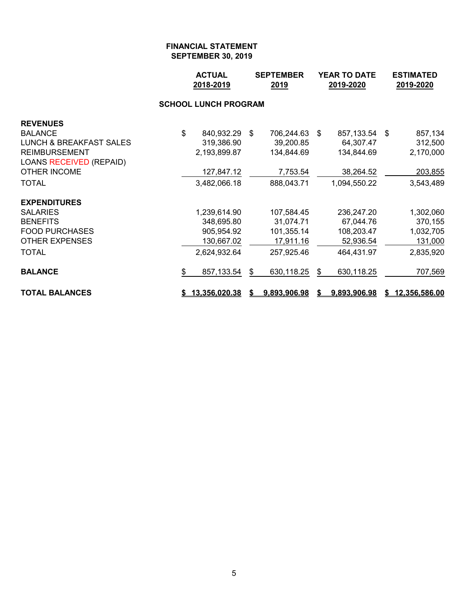|                                    | <b>ACTUAL</b><br>2018-2019  | <b>SEPTEMBER</b><br>2019 | <b>YEAR TO DATE</b><br>2019-2020 |      |              | <b>ESTIMATED</b><br>2019-2020 |                 |
|------------------------------------|-----------------------------|--------------------------|----------------------------------|------|--------------|-------------------------------|-----------------|
|                                    | <b>SCHOOL LUNCH PROGRAM</b> |                          |                                  |      |              |                               |                 |
| <b>REVENUES</b>                    |                             |                          |                                  |      |              |                               |                 |
| <b>BALANCE</b>                     | \$<br>840,932.29            | \$                       | 706,244.63                       | - \$ | 857,133.54   | -\$                           | 857,134         |
| <b>LUNCH &amp; BREAKFAST SALES</b> | 319,386.90                  |                          | 39,200.85                        |      | 64,307.47    |                               | 312,500         |
| <b>REIMBURSEMENT</b>               | 2,193,899.87                |                          | 134,844.69                       |      | 134,844.69   |                               | 2,170,000       |
| <b>LOANS RECEIVED (REPAID)</b>     |                             |                          |                                  |      |              |                               |                 |
| <b>OTHER INCOME</b>                | 127,847.12                  |                          | 7,753.54                         |      | 38,264.52    |                               | 203,855         |
| <b>TOTAL</b>                       | 3,482,066.18                |                          | 888,043.71                       |      | 1,094,550.22 |                               | 3,543,489       |
| <b>EXPENDITURES</b>                |                             |                          |                                  |      |              |                               |                 |
| <b>SALARIES</b>                    | 1,239,614.90                |                          | 107,584.45                       |      | 236,247.20   |                               | 1,302,060       |
| <b>BENEFITS</b>                    | 348,695.80                  |                          | 31,074.71                        |      | 67,044.76    |                               | 370,155         |
| <b>FOOD PURCHASES</b>              | 905,954.92                  |                          | 101,355.14                       |      | 108,203.47   |                               | 1,032,705       |
| <b>OTHER EXPENSES</b>              | 130,667.02                  |                          | 17,911.16                        |      | 52,936.54    |                               | 131,000         |
| <b>TOTAL</b>                       | 2,624,932.64                |                          | 257,925.46                       |      | 464,431.97   |                               | 2,835,920       |
| <b>BALANCE</b>                     | \$<br>857,133.54            | \$                       | 630,118.25                       | \$   | 630,118.25   |                               | 707,569         |
| <b>TOTAL BALANCES</b>              | \$13,356,020.38             |                          | 9,893,906.98                     | S.   | 9,893,906.98 |                               | \$12,356,586.00 |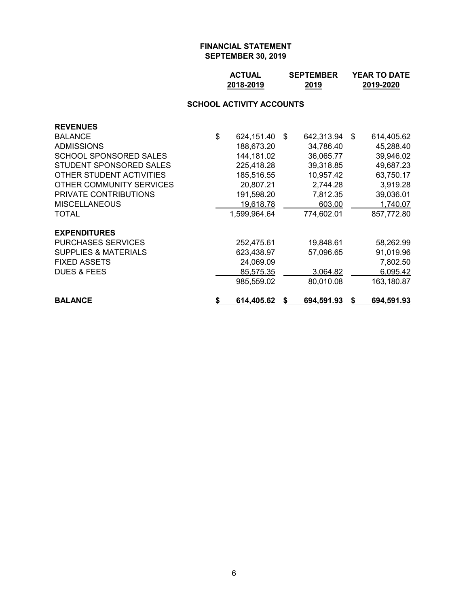| <b>ACTUAL</b> | <b>SEPTEMBER</b> | <b>YEAR TO DATE</b> |
|---------------|------------------|---------------------|
| 2018-2019     | 2019             | 2019-2020           |

# **SCHOOL ACTIVITY ACCOUNTS**

| <b>REVENUES</b>                 |                         |                  |                  |
|---------------------------------|-------------------------|------------------|------------------|
| <b>BALANCE</b>                  | \$<br>624,151.40        | \$<br>642,313.94 | \$<br>614,405.62 |
| <b>ADMISSIONS</b>               | 188,673.20              | 34,786.40        | 45,288.40        |
| SCHOOL SPONSORED SALES          | 144,181.02              | 36,065.77        | 39,946.02        |
| STUDENT SPONSORED SALES         | 225,418.28              | 39,318.85        | 49,687.23        |
| OTHER STUDENT ACTIVITIES        | 185,516.55              | 10,957.42        | 63,750.17        |
| OTHER COMMUNITY SERVICES        | 20,807.21               | 2,744.28         | 3,919.28         |
| <b>PRIVATE CONTRIBUTIONS</b>    | 191,598.20              | 7,812.35         | 39,036.01        |
| <b>MISCELLANEOUS</b>            | 19,618.78               | 603.00           | 1,740.07         |
| <b>TOTAL</b>                    | 1,599,964.64            | 774,602.01       | 857,772.80       |
| <b>EXPENDITURES</b>             |                         |                  |                  |
| <b>PURCHASES SERVICES</b>       | 252,475.61              | 19,848.61        | 58,262.99        |
| <b>SUPPLIES &amp; MATERIALS</b> | 623,438.97              | 57,096.65        | 91,019.96        |
| <b>FIXED ASSETS</b>             | 24,069.09               |                  | 7,802.50         |
| <b>DUES &amp; FEES</b>          | 85,575.35               | 3,064.82         | 6,095.42         |
|                                 | 985,559.02              | 80,010.08        | 163,180.87       |
| <b>BALANCE</b>                  | \$<br><u>614,405.62</u> | 694,591.93       | 694,591.93       |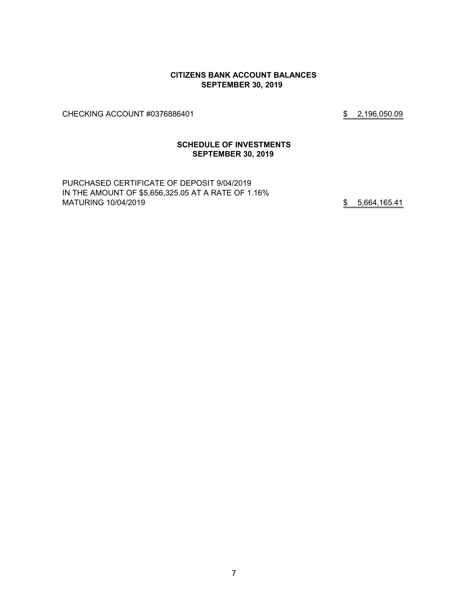#### **CITIZENS BANK ACCOUNT BALANCES SEPTEMBER 30, 2019**

CHECKING ACCOUNT #0376886401 \$2,196,050.09

#### **SCHEDULE OF INVESTMENTS SEPTEMBER 30, 2019**

PURCHASED CERTIFICATE OF DEPOSIT 9/04/2019 IN THE AMOUNT OF \$5,656,325.05 AT A RATE OF 1.16% MATURING 10/04/2019 **12/04/2019** \$5,664,165.41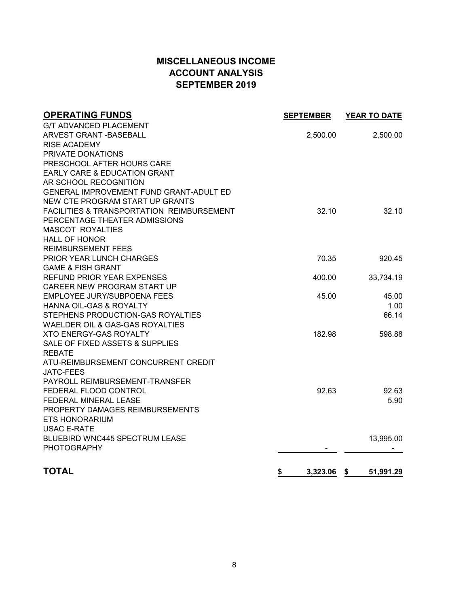# **MISCELLANEOUS INCOME ACCOUNT ANALYSIS SEPTEMBER 2019**

| <b>OPERATING FUNDS</b>                    | <b>SEPTEMBER</b> | YEAR TO DATE    |
|-------------------------------------------|------------------|-----------------|
| <b>G/T ADVANCED PLACEMENT</b>             |                  |                 |
| ARVEST GRANT - BASEBALL                   | 2,500.00         | 2,500.00        |
| <b>RISE ACADEMY</b>                       |                  |                 |
| PRIVATE DONATIONS                         |                  |                 |
| PRESCHOOL AFTER HOURS CARE                |                  |                 |
| EARLY CARE & EDUCATION GRANT              |                  |                 |
| AR SCHOOL RECOGNITION                     |                  |                 |
| GENERAL IMPROVEMENT FUND GRANT-ADULT ED   |                  |                 |
| NEW CTE PROGRAM START UP GRANTS           |                  |                 |
| FACILITIES & TRANSPORTATION REIMBURSEMENT | 32.10            | 32.10           |
| PERCENTAGE THEATER ADMISSIONS             |                  |                 |
| <b>MASCOT ROYALTIES</b>                   |                  |                 |
| <b>HALL OF HONOR</b>                      |                  |                 |
| <b>REIMBURSEMENT FEES</b>                 |                  |                 |
| PRIOR YEAR LUNCH CHARGES                  | 70.35            | 920.45          |
| <b>GAME &amp; FISH GRANT</b>              |                  |                 |
| REFUND PRIOR YEAR EXPENSES                | 400.00           | 33,734.19       |
| CAREER NEW PROGRAM START UP               |                  |                 |
| EMPLOYEE JURY/SUBPOENA FEES               | 45.00            | 45.00           |
| HANNA OIL-GAS & ROYALTY                   |                  | 1.00            |
| STEPHENS PRODUCTION-GAS ROYALTIES         |                  | 66.14           |
| WAELDER OIL & GAS-GAS ROYALTIES           |                  |                 |
| <b>XTO ENERGY-GAS ROYALTY</b>             | 182.98           | 598.88          |
| SALE OF FIXED ASSETS & SUPPLIES           |                  |                 |
| <b>REBATE</b>                             |                  |                 |
| ATU-REIMBURSEMENT CONCURRENT CREDIT       |                  |                 |
| <b>JATC-FEES</b>                          |                  |                 |
| PAYROLL REIMBURSEMENT-TRANSFER            |                  |                 |
| FEDERAL FLOOD CONTROL                     | 92.63            | 92.63           |
| FEDERAL MINERAL LEASE                     |                  | 5.90            |
| PROPERTY DAMAGES REIMBURSEMENTS           |                  |                 |
| <b>ETS HONORARIUM</b>                     |                  |                 |
| <b>USAC E-RATE</b>                        |                  |                 |
| <b>BLUEBIRD WNC445 SPECTRUM LEASE</b>     |                  | 13,995.00       |
| <b>PHOTOGRAPHY</b>                        |                  |                 |
|                                           |                  |                 |
| <b>TOTAL</b>                              | \$<br>3,323.06   | 51,991.29<br>\$ |